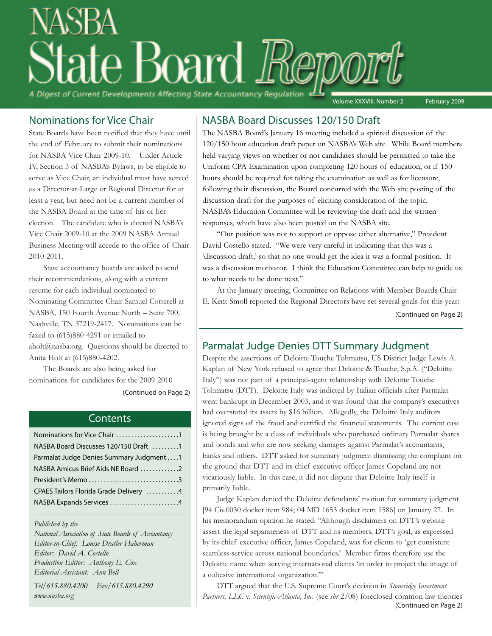# e Board *E* A Digest of Current Developments Affecting State Accountancy Regulation Volume XXXVIII, Number 2 February 2009

Nominations for Vice Chair

State Boards have been notified that they have until the end of February to submit their nominations for NASBA Vice Chair 2009-10. Under Article IV, Section 3 of NASBA's Bylaws, to be eligible to serve as Vice Chair, an individual must have served as a Director-at-Large or Regional Director for at least a year, but need not be a current member of the NASBA Board at the time of his or her election. The candidate who is elected NASBA's Vice Chair 2009-10 at the 2009 NASBA Annual Business Meeting will accede to the office of Chair 2010-2011.

State accountancy boards are asked to send their recommendations, along with a current resume for each individual nominated to Nominating Committee Chair Samuel Cotterell at NASBA, 150 Fourth Avenue North – Suite 700, Nashville, TN 37219-2417. Nominations can be faxed to (615)880-4291 or emailed to aholt@nasba.org. Questions should be directed to Anita Holt at (615)880-4202.

The Boards are also being asked for nominations for candidates for the 2009-2010 (Continued on Page 2)

#### Contents

| Nominations for Vice Chair 1             |
|------------------------------------------|
| NASBA Board Discusses 120/150 Draft 1    |
| Parmalat Judge Denies Summary Judgment 1 |
| NASBA Amicus Brief Aids NE Board 2       |
| President's Memo 3                       |
| CPAES Tailors Florida Grade Delivery 4   |
| NASBA Expands Services 4                 |
|                                          |

*Published by the*

*National Association of State Boards of Accountancy Editor-in-Chief: Louise Dratler Haberman Editor: David A. Costello Production Editor: Anthony E. Cox Editorial Assistant: Ann Bell*

*Tel/615.880.4200 Fax/615.880.4290 www.nasba.org*

# NASBA Board Discusses 120/150 Draft

The NASBA Board's January 16 meeting included a spirited discussion of the 120/150 hour education draft paper on NASBA's Web site. While Board members held varying views on whether or not candidates should be permitted to take the Uniform CPA Examination upon completing 120 hours of education, or if 150 hours should be required for taking the examination as well as for licensure, following their discussion, the Board concurred with the Web site posting of the discussion draft for the purposes of eliciting consideration of the topic. NASBA's Education Committee will be reviewing the draft and the written responses, which have also been posted on the NASBA site.

"Our position was not to support or oppose either alternative," President David Costello stated. "We were very careful in indicating that this was a 'discussion draft,' so that no one would get the idea it was a formal position. It was a discussion motivator. I think the Education Committee can help to guide us to what needs to be done next."

At the January meeting, Committee on Relations with Member Boards Chair E. Kent Smoll reported the Regional Directors have set several goals for this year: (Continued on Page 2)

# Parmalat Judge Denies DTT Summary Judgment

Despite the assertions of Deloitte Touche Tohmatsu, US District Judge Lewis A. Kaplan of New York refused to agree that Deloitte & Touche, S.p.A. ("Deloitte Italy") was not part of a principal-agent relationship with Deloitte Touche Tohmatsu (DTT). Deloitte Italy was indicted by Italian officials after Parmalat went bankrupt in December 2003, and it was found that the company's executives had overstated its assets by \$16 billion. Allegedly, the Deloitte Italy auditors ignored signs of the fraud and certified the financial statements. The current case is being brought by a class of individuals who purchased ordinary Parmalat shares and bonds and who are now seeking damages against Parmalat's accountants, banks and others. DTT asked for summary judgment dismissing the complaint on the ground that DTT and its chief executive officer James Copeland are not vicariously liable. In this case, it did not dispute that Deloitte Italy itself is primarily liable.

Judge Kaplan denied the Deloitte defendants' motion for summary judgment [94 Civ.0030 docket item 984; 04 MD 1653 docket item 1586] on January 27. In his memorandum opinion he stated: "Although disclaimers on DTT's website assert the legal separateness of DTT and its members, DTT's goal, as expressed by its chief executive officer, James Copeland, was for clients to 'get consistent seamless service across national boundaries.' Member firms therefore use the Deloitte name when serving international clients 'in order to project the image of a cohesive international organization.'"

DTT argued that the U.S. Supreme Court's decision in *Stoneridge Investment Partners, LLC* v. *Scientific-Atlanta, Inc.* (see *sbr* 2/08) foreclosed common law theories (Continued on Page 2)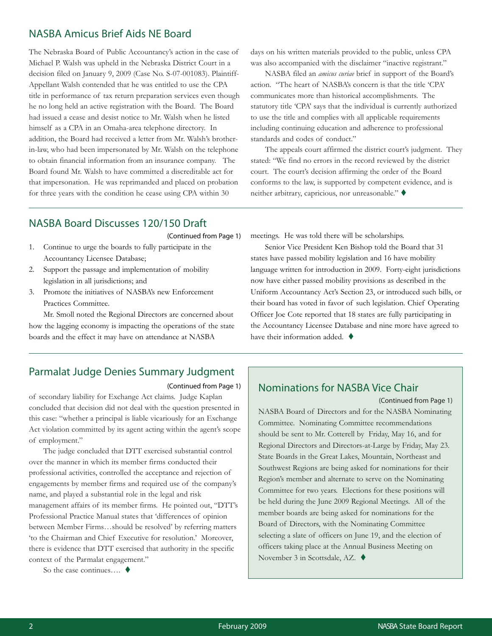## NASBA Amicus Brief Aids NE Board

The Nebraska Board of Public Accountancy's action in the case of Michael P. Walsh was upheld in the Nebraska District Court in a decision filed on January 9, 2009 (Case No. S-07-001083). Plaintiff-Appellant Walsh contended that he was entitled to use the CPA title in performance of tax return preparation services even though he no long held an active registration with the Board. The Board had issued a cease and desist notice to Mr. Walsh when he listed himself as a CPA in an Omaha-area telephone directory. In addition, the Board had received a letter from Mr. Walsh's brotherin-law, who had been impersonated by Mr. Walsh on the telephone to obtain financial information from an insurance company. The Board found Mr. Walsh to have committed a discreditable act for that impersonation. He was reprimanded and placed on probation for three years with the condition he cease using CPA within 30

days on his written materials provided to the public, unless CPA was also accompanied with the disclaimer "inactive registrant."

NASBA filed an *amicus curiae* brief in support of the Board's action. "The heart of NASBA's concern is that the title 'CPA' communicates more than historical accomplishments. The statutory title 'CPA' says that the individual is currently authorized to use the title and complies with all applicable requirements including continuing education and adherence to professional standards and codes of conduct."

The appeals court affirmed the district court's judgment. They stated: "We find no errors in the record reviewed by the district court. The court's decision affirming the order of the Board conforms to the law, is supported by competent evidence, and is neither arbitrary, capricious, nor unreasonable."

## NASBA Board Discusses 120/150 Draft

(Continued from Page 1)

- 1. Continue to urge the boards to fully participate in the Accountancy Licensee Database;
- 2. Support the passage and implementation of mobility legislation in all jurisdictions; and
- 3. Promote the initiatives of NASBA's new Enforcement Practices Committee.

Mr. Smoll noted the Regional Directors are concerned about how the lagging economy is impacting the operations of the state boards and the effect it may have on attendance at NASBA

meetings. He was told there will be scholarships.

Senior Vice President Ken Bishop told the Board that 31 states have passed mobility legislation and 16 have mobility language written for introduction in 2009. Forty-eight jurisdictions now have either passed mobility provisions as described in the Uniform Accountancy Act's Section 23, or introduced such bills, or their board has voted in favor of such legislation. Chief Operating Officer Joe Cote reported that 18 states are fully participating in the Accountancy Licensee Database and nine more have agreed to have their information added.  $\blacklozenge$ 

# Parmalat Judge Denies Summary Judgment

#### (Continued from Page 1)

of secondary liability for Exchange Act claims. Judge Kaplan concluded that decision did not deal with the question presented in this case: "whether a principal is liable vicariously for an Exchange Act violation committed by its agent acting within the agent's scope of employment."

The judge concluded that DTT exercised substantial control over the manner in which its member firms conducted their professional activities, controlled the acceptance and rejection of engagements by member firms and required use of the company's name, and played a substantial role in the legal and risk management affairs of its member firms. He pointed out, "DTT's Professional Practice Manual states that 'differences of opinion between Member Firms…should be resolved' by referring matters 'to the Chairman and Chief Executive for resolution.' Moreover, there is evidence that DTT exercised that authority in the specific context of the Parmalat engagement."

So the case continues.... ♦

# Nominations for NASBA Vice Chair

(Continued from Page 1)

NASBA Board of Directors and for the NASBA Nominating Committee. Nominating Committee recommendations should be sent to Mr. Cotterell by Friday, May 16, and for Regional Directors and Directors-at-Large by Friday, May 23. State Boards in the Great Lakes, Mountain, Northeast and Southwest Regions are being asked for nominations for their Region's member and alternate to serve on the Nominating Committee for two years. Elections for these positions will be held during the June 2009 Regional Meetings. All of the member boards are being asked for nominations for the Board of Directors, with the Nominating Committee selecting a slate of officers on June 19, and the election of officers taking place at the Annual Business Meeting on November 3 in Scottsdale, AZ. ♦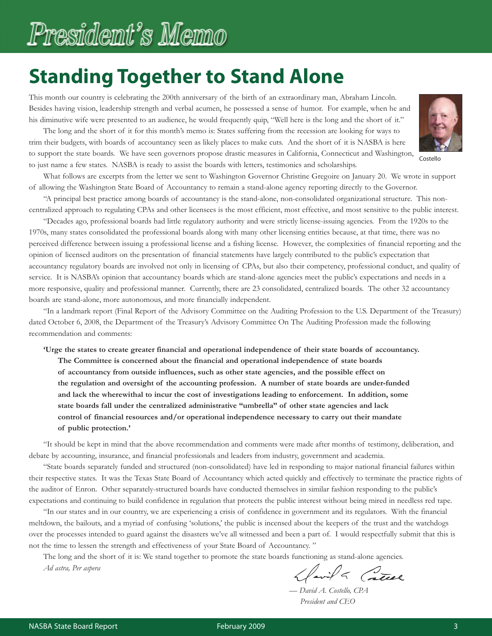# President's Memo

# **Standing Together to Stand Alone**

This month our country is celebrating the 200th anniversary of the birth of an extraordinary man, Abraham Lincoln. Besides having vision, leadership strength and verbal acumen, he possessed a sense of humor. For example, when he and his diminutive wife were presented to an audience, he would frequently quip, "Well here is the long and the short of it."

The long and the short of it for this month's memo is: States suffering from the recession are looking for ways to trim their budgets, with boards of accountancy seen as likely places to make cuts. And the short of it is NASBA is here to support the state boards. We have seen governors propose drastic measures in California, Connecticut and Washington, to just name a few states. NASBA is ready to assist the boards with letters, testimonies and scholarships.



Costello

What follows are excerpts from the letter we sent to Washington Governor Christine Gregoire on January 20. We wrote in support of allowing the Washington State Board of Accountancy to remain a stand-alone agency reporting directly to the Governor.

"A principal best practice among boards of accountancy is the stand-alone, non-consolidated organizational structure. This noncentralized approach to regulating CPAs and other licensees is the most efficient, most effective, and most sensitive to the public interest.

"Decades ago, professional boards had little regulatory authority and were strictly license-issuing agencies. From the 1920s to the 1970s, many states consolidated the professional boards along with many other licensing entities because, at that time, there was no perceived difference between issuing a professional license and a fishing license. However, the complexities of financial reporting and the opinion of licensed auditors on the presentation of financial statements have largely contributed to the public's expectation that accountancy regulatory boards are involved not only in licensing of CPAs, but also their competency, professional conduct, and quality of service. It is NASBA's opinion that accountancy boards which are stand-alone agencies meet the public's expectations and needs in a more responsive, quality and professional manner. Currently, there are 23 consolidated, centralized boards. The other 32 accountancy boards are stand-alone, more autonomous, and more financially independent.

"In a landmark report (Final Report of the Advisory Committee on the Auditing Profession to the U.S. Department of the Treasury) dated October 6, 2008, the Department of the Treasury's Advisory Committee On The Auditing Profession made the following recommendation and comments:

**'Urge the states to create greater financial and operational independence of their state boards of accountancy.**

**The Committee is concerned about the financial and operational independence of state boards of accountancy from outside influences, such as other state agencies, and the possible effect on the regulation and oversight of the accounting profession. A number of state boards are under-funded and lack the wherewithal to incur the cost of investigations leading to enforcement. In addition, some state boards fall under the centralized administrative "umbrella" of other state agencies and lack control of financial resources and/or operational independence necessary to carry out their mandate of public protection.'**

"It should be kept in mind that the above recommendation and comments were made after months of testimony, deliberation, and debate by accounting, insurance, and financial professionals and leaders from industry, government and academia.

"State boards separately funded and structured (non-consolidated) have led in responding to major national financial failures within their respective states. It was the Texas State Board of Accountancy which acted quickly and effectively to terminate the practice rights of the auditor of Enron. Other separately-structured boards have conducted themselves in similar fashion responding to the public's expectations and continuing to build confidence in regulation that protects the public interest without being mired in needless red tape.

"In our states and in our country, we are experiencing a crisis of confidence in government and its regulators. With the financial meltdown, the bailouts, and a myriad of confusing 'solutions,' the public is incensed about the keepers of the trust and the watchdogs over the processes intended to guard against the disasters we've all witnessed and been a part of. I would respectfully submit that this is not the time to lessen the strength and effectiveness of your State Board of Accountancy. "

The long and the short of it is: We stand together to promote the state boards functioning as stand-alone agencies. *Ad astra, Per aspera*

Havila Catel

— *David A. Costello, CPA President and CEO*